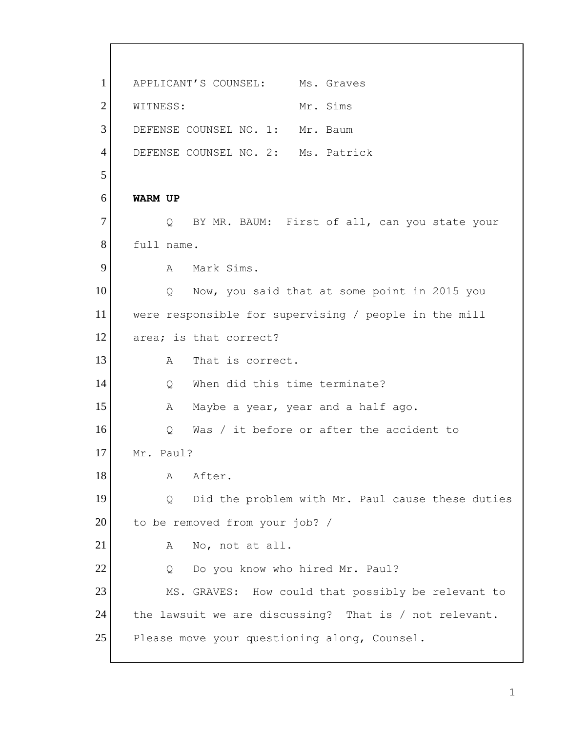1 APPLICANT'S COUNSEL: Ms. Graves 2 WITNESS: Mr. Sims 3 DEFENSE COUNSEL NO. 1: Mr. Baum 4 DEFENSE COUNSEL NO. 2: Ms. Patrick 5 6 **WARM UP** 7 Q BY MR. BAUM: First of all, can you state your 8 full name. 9 A Mark Sims. 10 Q Now, you said that at some point in 2015 you 11 were responsible for supervising / people in the mill 12 area; is that correct? 13 A That is correct. 14 14 O When did this time terminate? 15 A Maybe a year, year and a half ago. 16 O Was / it before or after the accident to 17 Mr. Paul? 18 A After. 19 | Q Did the problem with Mr. Paul cause these duties 20 to be removed from your job? / 21 A No, not at all. 22 Q Do you know who hired Mr. Paul? 23 MS. GRAVES: How could that possibly be relevant to 24 the lawsuit we are discussing? That is / not relevant. 25 Please move your questioning along, Counsel.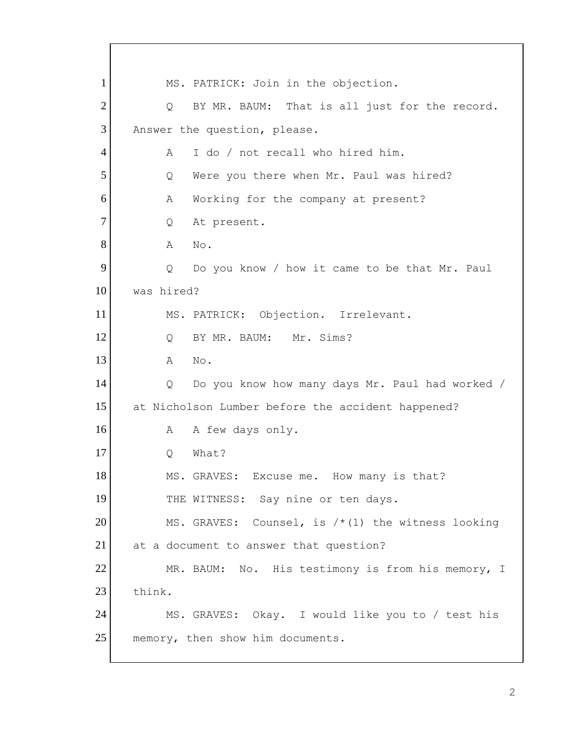1 MS. PATRICK: Join in the objection. 2 Q BY MR. BAUM: That is all just for the record. 3 Answer the question, please. 4 A I do / not recall who hired him. 5 Q Were you there when Mr. Paul was hired? 6 A Working for the company at present? 7 Q At present. 8 **A** No. 9 Q Do you know / how it came to be that Mr. Paul 10 was hired? 11 MS. PATRICK: Objection. Irrelevant. 12 Q BY MR. BAUM: Mr. Sims? 13 A No. 14 Q Do you know how many days Mr. Paul had worked / 15 at Nicholson Lumber before the accident happened? 16 A A few days only. 17 O What? 18 MS. GRAVES: Excuse me. How many is that? 19 THE WITNESS: Say nine or ten days. 20 MS. GRAVES: Counsel, is  $/*(1)$  the witness looking 21 at a document to answer that question? 22 MR. BAUM: No. His testimony is from his memory, I 23 think. 24 MS. GRAVES: Okay. I would like you to / test his 25 memory, then show him documents.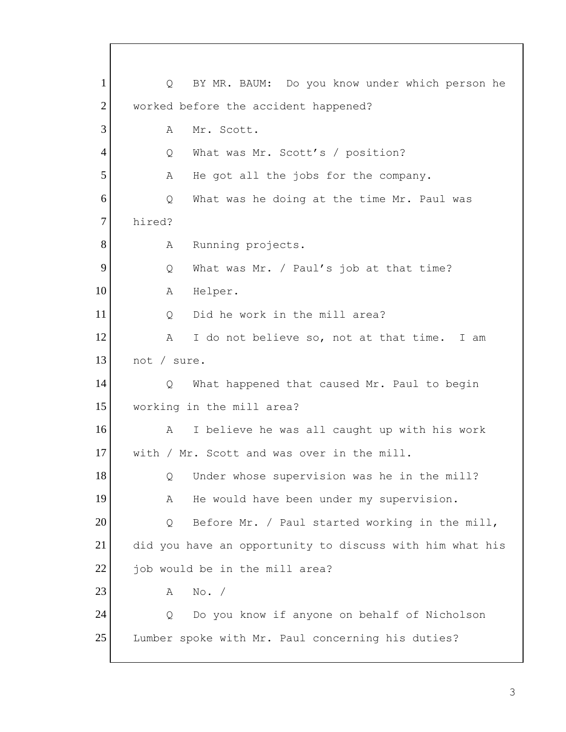1 | Q BY MR. BAUM: Do you know under which person he 2 worked before the accident happened? 3 A Mr. Scott. 4 Q What was Mr. Scott's / position? 5 A He got all the jobs for the company. 6 Q What was he doing at the time Mr. Paul was 7 hired? 8 A Running projects. 9 Q What was Mr. / Paul's job at that time? 10 A Helper. 11 O Did he work in the mill area? 12 A I do not believe so, not at that time. I am 13 not / sure. 14 Q What happened that caused Mr. Paul to begin 15 working in the mill area? 16 A I believe he was all caught up with his work 17 with / Mr. Scott and was over in the mill. 18 Q Under whose supervision was he in the mill? 19 A He would have been under my supervision. 20 Q Before Mr. / Paul started working in the mill, 21 did you have an opportunity to discuss with him what his  $22$  job would be in the mill area?  $23$  A No. / 24 Q Do you know if anyone on behalf of Nicholson 25 Lumber spoke with Mr. Paul concerning his duties?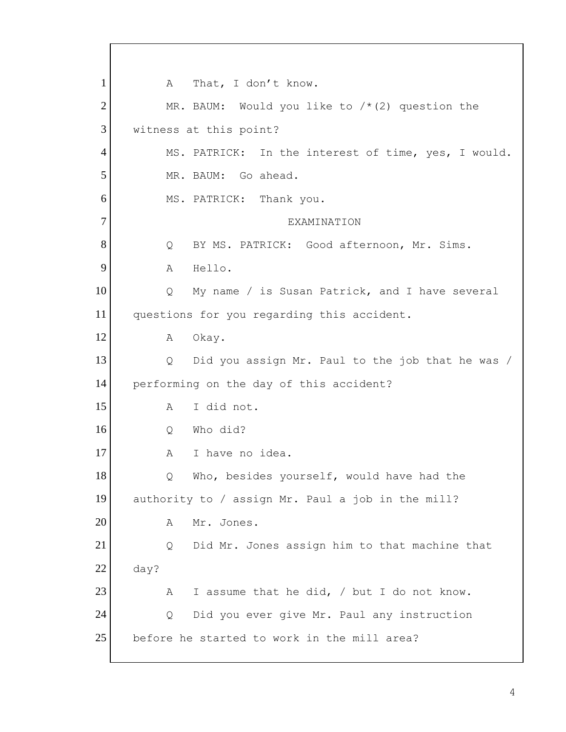1 A That, I don't know. 2 MR. BAUM: Would you like to  $/*(2)$  question the 3 witness at this point? 4 MS. PATRICK: In the interest of time, yes, I would. 5 MR. BAUM: Go ahead. 6 MS. PATRICK: Thank you. 7 EXAMINATION 8 O BY MS. PATRICK: Good afternoon, Mr. Sims. 9 A Hello. 10 | Q My name / is Susan Patrick, and I have several 11 questions for you regarding this accident. 12 A Okay. 13 Q Did you assign Mr. Paul to the job that he was / 14 performing on the day of this accident? 15 A I did not. 16 Q Who did? 17 A I have no idea. 18 | Q Who, besides yourself, would have had the 19 authority to / assign Mr. Paul a job in the mill? 20 A Mr. Jones. 21 Q Did Mr. Jones assign him to that machine that 22 day? 23  $\vert$  A I assume that he did, / but I do not know. 24 Q Did you ever give Mr. Paul any instruction 25 before he started to work in the mill area?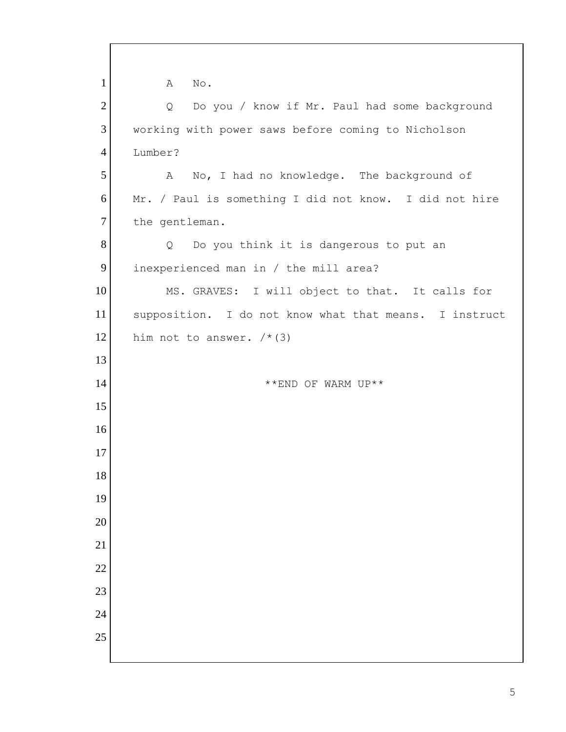| $\mathbf{1}$    | $\mathrm{No}$ .<br>A                                   |
|-----------------|--------------------------------------------------------|
| $\overline{2}$  | Do you / know if Mr. Paul had some background<br>Q     |
| 3               | working with power saws before coming to Nicholson     |
| $\overline{4}$  | Lumber?                                                |
| 5               | No, I had no knowledge. The background of<br>A         |
| 6               | Mr. / Paul is something I did not know. I did not hire |
| $\tau$          | the gentleman.                                         |
| 8               | Do you think it is dangerous to put an<br>Q            |
| 9               | inexperienced man in / the mill area?                  |
| 10              | MS. GRAVES: I will object to that. It calls for        |
| 11              | supposition. I do not know what that means. I instruct |
| 12              | him not to answer. $/*$ (3)                            |
| 13              |                                                        |
| 14              | **END OF WARM UP**                                     |
| 15              |                                                        |
| 16              |                                                        |
| 17              |                                                        |
| 18              |                                                        |
| 19              |                                                        |
| 20              |                                                        |
| 21              |                                                        |
| $\overline{22}$ |                                                        |
| 23              |                                                        |
| 24              |                                                        |
| 25              |                                                        |
|                 |                                                        |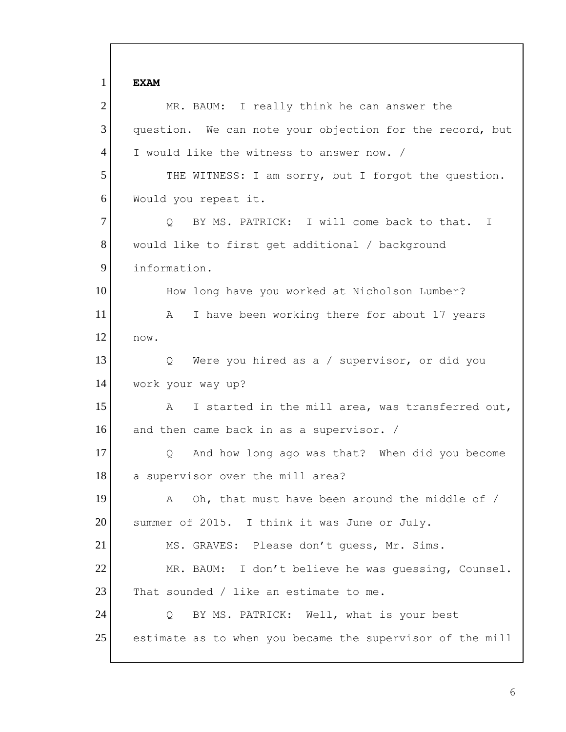1 **EXAM** 2 MR. BAUM: I really think he can answer the 3 question. We can note your objection for the record, but 4 I would like the witness to answer now. / 5 THE WITNESS: I am sorry, but I forgot the question. 6 Would you repeat it. 7 O BY MS. PATRICK: I will come back to that. I 8 would like to first get additional / background 9 information. 10 How long have you worked at Nicholson Lumber? 11 A I have been working there for about 17 years  $12$  now. 13 | Q Were you hired as a / supervisor, or did you 14 work your way up? 15 A I started in the mill area, was transferred out, 16 and then came back in as a supervisor. / 17 Q And how long ago was that? When did you become 18 a supervisor over the mill area? 19 A Oh, that must have been around the middle of / 20 Summer of 2015. I think it was June or July. 21 MS. GRAVES: Please don't quess, Mr. Sims. 22 MR. BAUM: I don't believe he was guessing, Counsel. 23 That sounded / like an estimate to me. 24 Q BY MS. PATRICK: Well, what is your best 25 estimate as to when you became the supervisor of the mill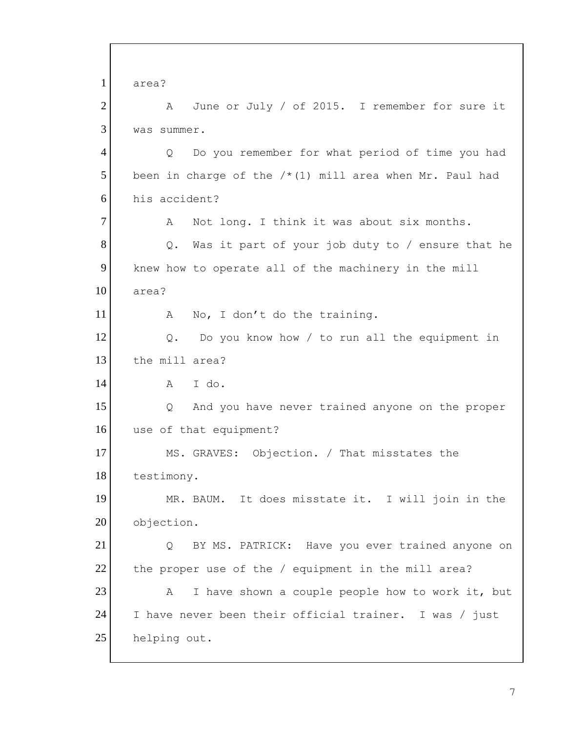1 area? 2 A June or July / of 2015. I remember for sure it 3 was summer. 4 Q Do you remember for what period of time you had 5 been in charge of the  $/*(1)$  mill area when Mr. Paul had 6 his accident? 7 A Not long. I think it was about six months.  $8$  Q. Was it part of your job duty to / ensure that he 9 knew how to operate all of the machinery in the mill 10 area? 11 A No, I don't do the training.  $12$  Q. Do you know how / to run all the equipment in 13 the mill area?  $14$   $\overline{A}$   $\overline{A}$   $\overline{A}$   $\overline{A}$ 15 15 Q And you have never trained anyone on the proper 16 use of that equipment? 17 MS. GRAVES: Objection. / That misstates the 18 testimony. 19 MR. BAUM. It does misstate it. I will join in the 20 objection. 21 | Q BY MS. PATRICK: Have you ever trained anyone on 22 the proper use of the / equipment in the mill area?  $23$  A I have shown a couple people how to work it, but 24 I have never been their official trainer. I was / just 25 helping out.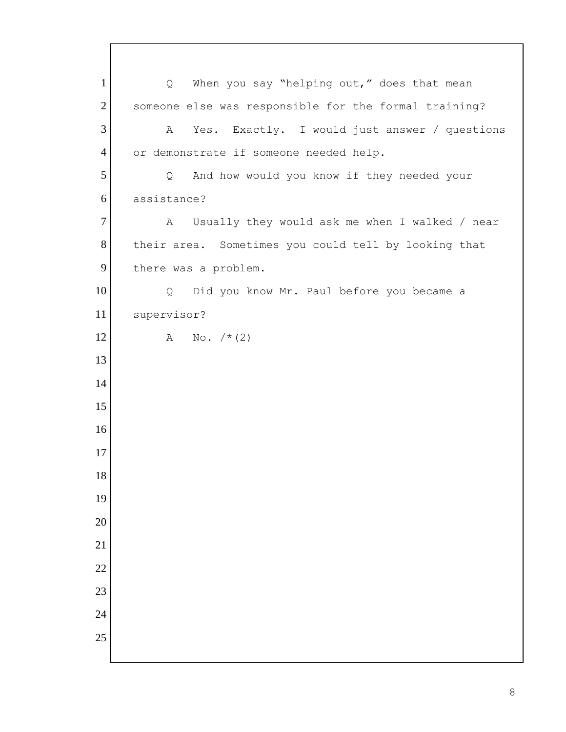1 | Q When you say "helping out," does that mean 2 someone else was responsible for the formal training? 3 A Yes. Exactly. I would just answer / questions 4 or demonstrate if someone needed help. 5 | Q And how would you know if they needed your assistance? 7 A Usually they would ask me when I walked / near 8 their area. Sometimes you could tell by looking that 9 there was a problem. 10 | Q Did you know Mr. Paul before you became a supervisor? 12 A No.  $/* (2)$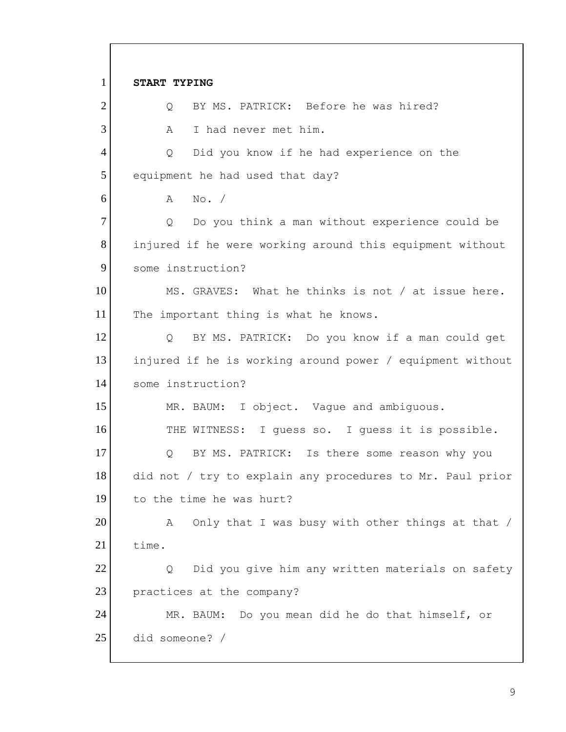1 **START TYPING** 2 O BY MS. PATRICK: Before he was hired? 3 A I had never met him. 4 Q Did you know if he had experience on the 5 equipment he had used that day? 6 A No. / 7 | Q Do you think a man without experience could be 8 injured if he were working around this equipment without 9 some instruction? 10 MS. GRAVES: What he thinks is not / at issue here. 11 The important thing is what he knows. 12 | Q BY MS. PATRICK: Do you know if a man could get 13 injured if he is working around power / equipment without 14 some instruction? 15 MR. BAUM: I object. Vaque and ambiguous. 16 THE WITNESS: I guess so. I guess it is possible. 17 Q BY MS. PATRICK: Is there some reason why you 18 did not / try to explain any procedures to Mr. Paul prior 19 to the time he was hurt? 20 A Only that I was busy with other things at that / 21 time. 22 Q Did you give him any written materials on safety 23 practices at the company? 24 MR. BAUM: Do you mean did he do that himself, or 25 did someone? /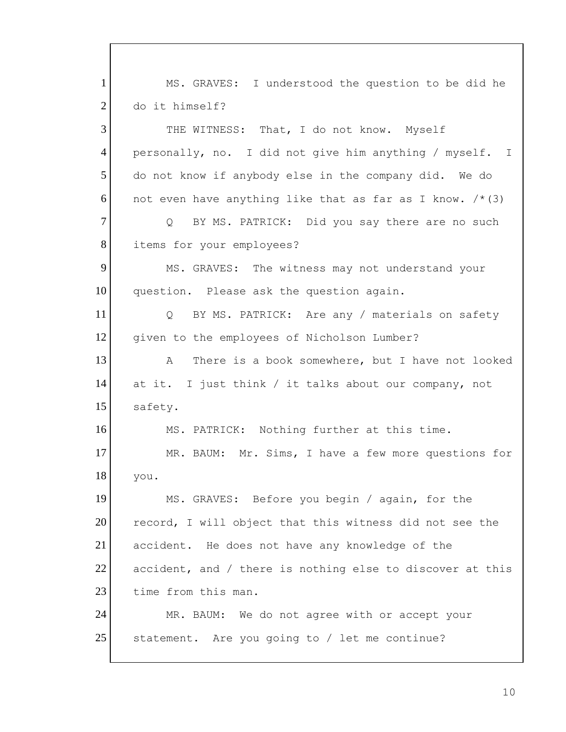1 MS. GRAVES: I understood the question to be did he 2 do it himself? 3 THE WITNESS: That, I do not know. Myself 4 personally, no. I did not give him anything / myself. I 5 do not know if anybody else in the company did. We do 6 not even have anything like that as far as I know.  $/*(3)$ 7 | Q BY MS. PATRICK: Did you say there are no such 8 items for your employees? 9 MS. GRAVES: The witness may not understand your 10 question. Please ask the question again. 11 Q BY MS. PATRICK: Are any / materials on safety 12 given to the employees of Nicholson Lumber? 13 A There is a book somewhere, but I have not looked 14 at it. I just think / it talks about our company, not 15 safety. 16 MS. PATRICK: Nothing further at this time. 17 MR. BAUM: Mr. Sims, I have a few more questions for 18 you. 19 MS. GRAVES: Before you begin / again, for the 20 record, I will object that this witness did not see the 21 accident. He does not have any knowledge of the 22 accident, and / there is nothing else to discover at this 23 time from this man. 24 MR. BAUM: We do not agree with or accept your 25 statement. Are you going to / let me continue?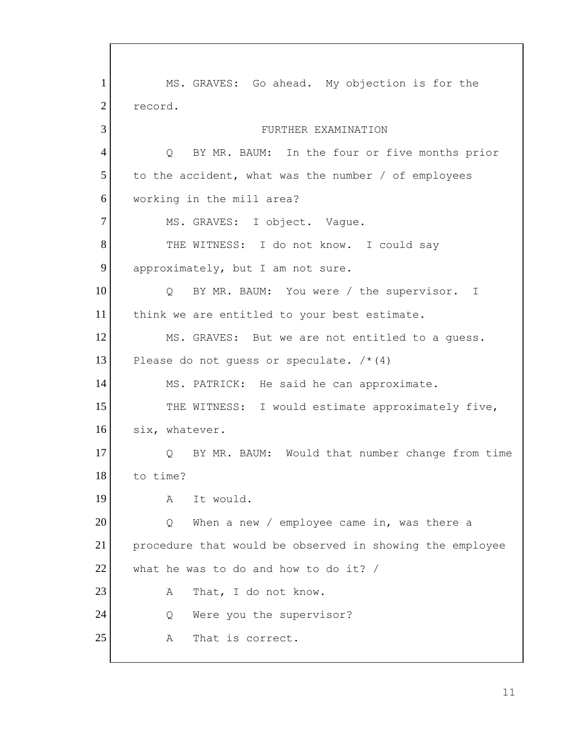1 MS. GRAVES: Go ahead. My objection is for the 2 record. 3 FURTHER EXAMINATION 4 Q BY MR. BAUM: In the four or five months prior  $5$  to the accident, what was the number / of employees 6 working in the mill area? 7 MS. GRAVES: I object. Vague. 8 THE WITNESS: I do not know. I could say 9 approximately, but I am not sure. 10 | Q BY MR. BAUM: You were / the supervisor. I 11 think we are entitled to your best estimate. 12 MS. GRAVES: But we are not entitled to a guess. 13 Please do not quess or speculate.  $/*(4)$ 14 MS. PATRICK: He said he can approximate. 15 THE WITNESS: I would estimate approximately five, 16 six, whatever. 17 O BY MR. BAUM: Would that number change from time 18 to time? 19 A It would. 20 Q When a new / employee came in, was there a 21 procedure that would be observed in showing the employee  $22$  what he was to do and how to do it? / 23 A That, I do not know. 24 Q Were you the supervisor? 25 A That is correct.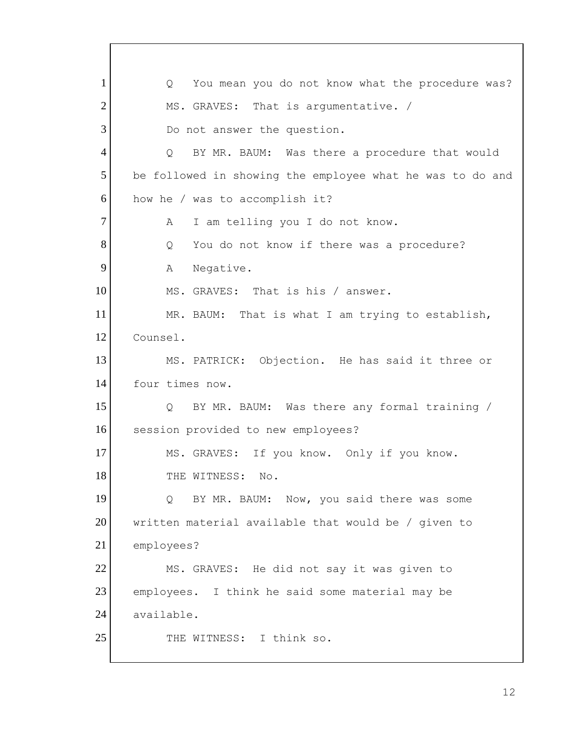1 Q You mean you do not know what the procedure was? 2 MS. GRAVES: That is argumentative. / 3 Do not answer the question. 4 Q BY MR. BAUM: Was there a procedure that would 5 be followed in showing the employee what he was to do and 6 how he / was to accomplish it? 7 A I am telling you I do not know. 8 Q You do not know if there was a procedure? 9 A Negative. 10 MS. GRAVES: That is his / answer. 11 MR. BAUM: That is what I am trying to establish, 12 Counsel. 13 MS. PATRICK: Objection. He has said it three or 14 four times now. 15 O BY MR. BAUM: Was there any formal training / 16 session provided to new employees? 17 MS. GRAVES: If you know. Only if you know. 18 THE WITNESS: No. 19 19 Q BY MR. BAUM: Now, you said there was some 20 written material available that would be / given to 21 employees? 22 MS. GRAVES: He did not say it was given to 23 employees. I think he said some material may be 24 available. 25 THE WITNESS: I think so.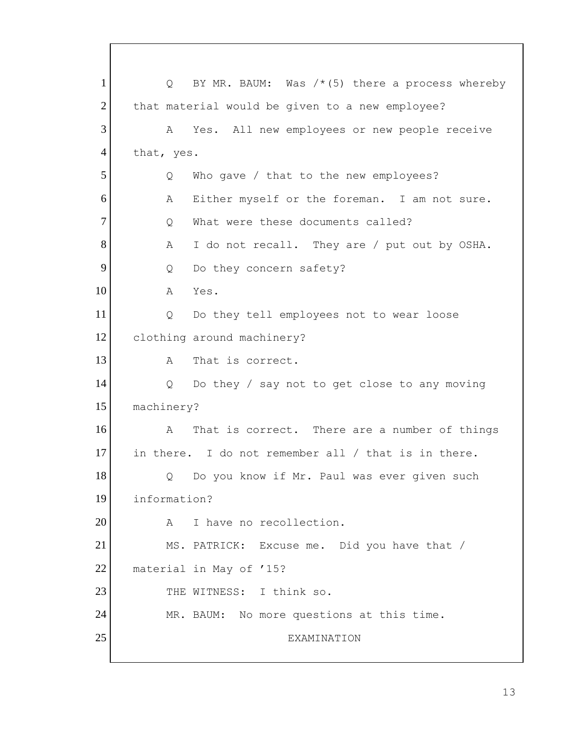1  $\sqrt{Q}$  BY MR. BAUM: Was /\*(5) there a process whereby 2 that material would be given to a new employee? 3 A Yes. All new employees or new people receive 4 that, yes. 5 Q Who gave / that to the new employees? 6 A Either myself or the foreman. I am not sure. 7 O What were these documents called?  $8$  A I do not recall. They are / put out by OSHA. 9 Q Do they concern safety? 10 A Yes. 11 | Q Do they tell employees not to wear loose 12 clothing around machinery? 13 A That is correct. 14 Q Do they / say not to get close to any moving 15 machinery? 16 A That is correct. There are a number of things 17 in there. I do not remember all / that is in there. 18 | Q Do you know if Mr. Paul was ever given such 19 information? 20 A I have no recollection. 21 MS. PATRICK: Excuse me. Did you have that / 22 material in May of '15? 23 THE WITNESS: I think so. 24 MR. BAUM: No more questions at this time. 25 EXAMINATION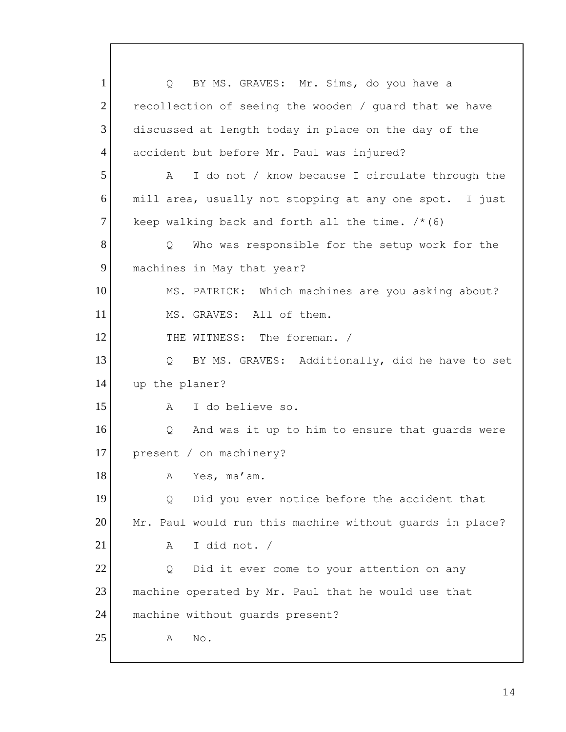1 | Q BY MS. GRAVES: Mr. Sims, do you have a  $2$  recollection of seeing the wooden / quard that we have 3 discussed at length today in place on the day of the 4 accident but before Mr. Paul was injured? 5 A I do not / know because I circulate through the 6 mill area, usually not stopping at any one spot. I just 7 keep walking back and forth all the time.  $/* (6)$ 8 Q Who was responsible for the setup work for the 9 machines in May that year? 10 MS. PATRICK: Which machines are you asking about? 11 MS. GRAVES: All of them. 12 THE WITNESS: The foreman. / 13 | Q BY MS. GRAVES: Additionally, did he have to set 14 up the planer? 15 A I do believe so. 16 Q And was it up to him to ensure that quards were 17 present / on machinery? 18 A Yes, ma'am. 19 19 Q Did you ever notice before the accident that 20 Mr. Paul would run this machine without quards in place? 21 A I did not. / 22 Q Did it ever come to your attention on any 23 machine operated by Mr. Paul that he would use that 24 machine without quards present? 25 A No.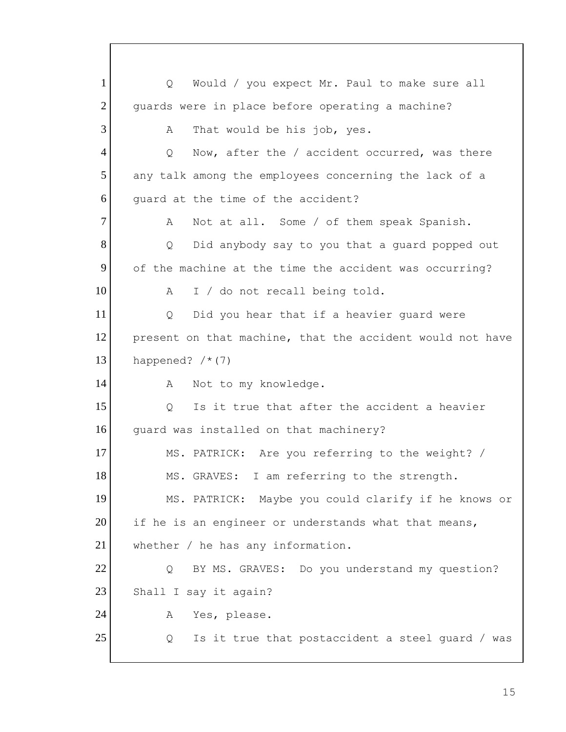1 | Q Would / you expect Mr. Paul to make sure all 2 quards were in place before operating a machine? 3 A That would be his job, yes. 4 Q Now, after the / accident occurred, was there 5 any talk among the employees concerning the lack of a 6 guard at the time of the accident? 7 A Not at all. Some / of them speak Spanish. 8 Q Did anybody say to you that a quard popped out 9 of the machine at the time the accident was occurring? 10 A I / do not recall being told. 11 | Q Did you hear that if a heavier quard were 12 present on that machine, that the accident would not have 13 happened?  $/* (7)$ 14 A Not to my knowledge. 15 | O Is it true that after the accident a heavier 16 guard was installed on that machinery? 17 MS. PATRICK: Are you referring to the weight? / 18 MS. GRAVES: I am referring to the strength. 19 MS. PATRICK: Maybe you could clarify if he knows or 20 if he is an engineer or understands what that means, 21 whether / he has any information. 22 Q BY MS. GRAVES: Do you understand my question? 23 Shall I say it again? 24 A Yes, please.  $25$  Q Is it true that postaccident a steel quard / was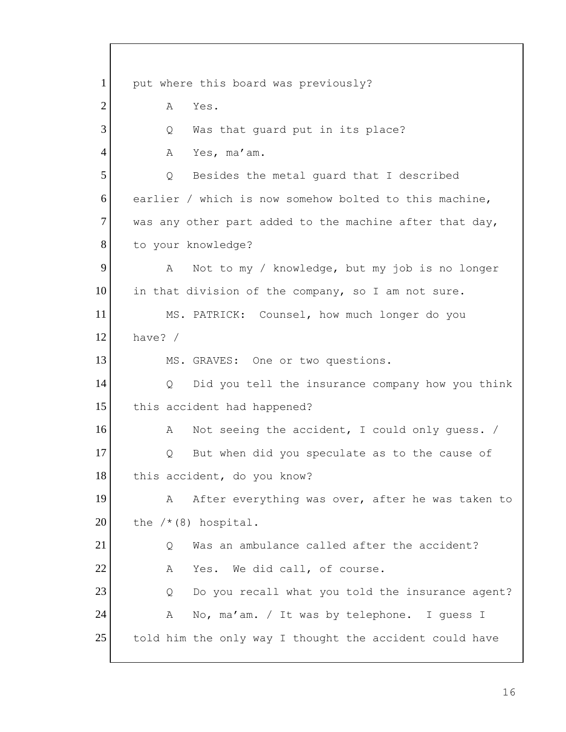1 put where this board was previously? 2 A Yes. 3 Q Was that guard put in its place? 4 A Yes, ma'am. 5 | Q Besides the metal quard that I described 6 earlier / which is now somehow bolted to this machine,  $7$  was any other part added to the machine after that day, 8 to your knowledge? 9 A Not to my / knowledge, but my job is no longer 10 in that division of the company, so I am not sure. 11 MS. PATRICK: Counsel, how much longer do you 12 have? / 13 MS. GRAVES: One or two questions. 14 Q Did you tell the insurance company how you think 15 this accident had happened? 16 A Not seeing the accident, I could only quess. / 17 Q But when did you speculate as to the cause of 18 this accident, do you know? 19 A After everything was over, after he was taken to 20 the  $/*(8)$  hospital. 21 O Was an ambulance called after the accident? 22 A Yes. We did call, of course. 23 Q Do you recall what you told the insurance agent? 24 A No, ma'am. / It was by telephone. I quess I 25 told him the only way I thought the accident could have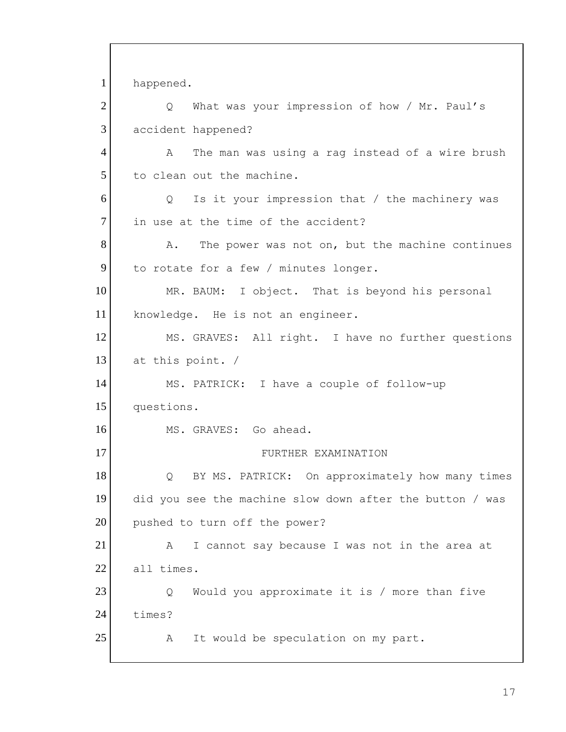1 happened. 2 Q What was your impression of how / Mr. Paul's 3 accident happened? 4 A The man was using a rag instead of a wire brush 5 to clean out the machine. 6 Q Is it your impression that / the machinery was 7 in use at the time of the accident?  $8$  A. The power was not on, but the machine continues 9 to rotate for a few / minutes longer. 10 MR. BAUM: I object. That is beyond his personal 11 knowledge. He is not an engineer. 12 MS. GRAVES: All right. I have no further questions  $13$  at this point. / 14 MS. PATRICK: I have a couple of follow-up 15 questions. 16 MS. GRAVES: Go ahead. 17 FURTHER EXAMINATION 18 | Q BY MS. PATRICK: On approximately how many times 19 did you see the machine slow down after the button / was 20 pushed to turn off the power? 21 A I cannot say because I was not in the area at 22 all times. 23 Q Would you approximate it is / more than five 24 times? 25 A It would be speculation on my part.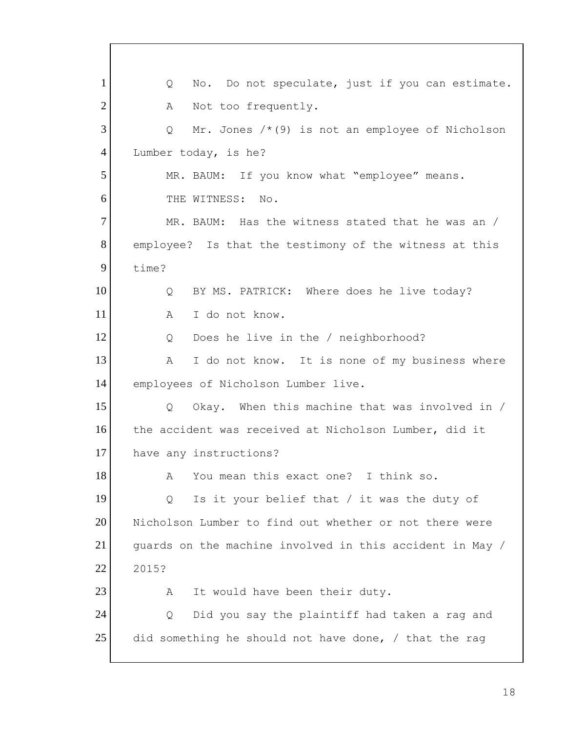1 Q No. Do not speculate, just if you can estimate. 2 A Not too frequently.  $3$  Q Mr. Jones  $/*(9)$  is not an employee of Nicholson 4 Lumber today, is he? 5 MR. BAUM: If you know what "employee" means. 6 THE WITNESS: No. 7 MR. BAUM: Has the witness stated that he was an / 8 employee? Is that the testimony of the witness at this 9 time? 10 | Q BY MS. PATRICK: Where does he live today? 11 A I do not know. 12 Q Does he live in the / neighborhood? 13 A I do not know. It is none of my business where 14 employees of Nicholson Lumber live. 15 | Q Okay. When this machine that was involved in / 16 the accident was received at Nicholson Lumber, did it 17 have any instructions? 18 A You mean this exact one? I think so. 19 | Q Is it your belief that / it was the duty of 20 Nicholson Lumber to find out whether or not there were 21 guards on the machine involved in this accident in May / 22 2015? 23 A It would have been their duty. 24 | Q Did you say the plaintiff had taken a rag and 25 did something he should not have done, / that the rag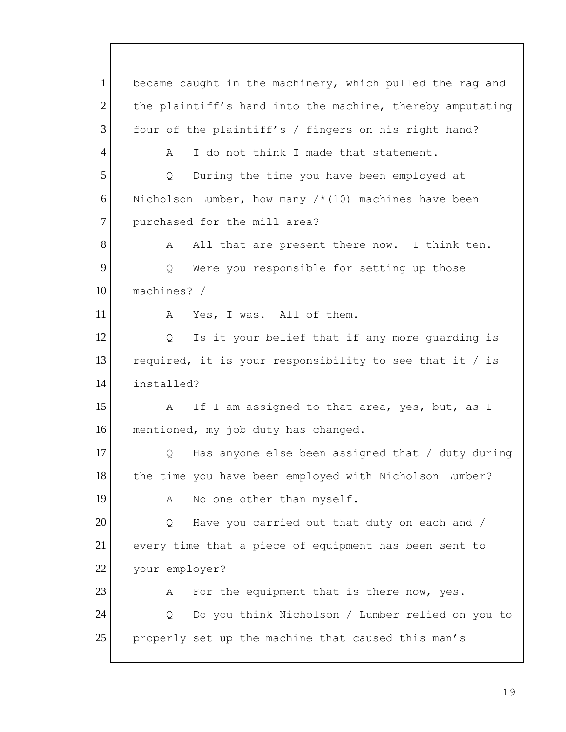1 became caught in the machinery, which pulled the rag and 2 the plaintiff's hand into the machine, thereby amputating 3 four of the plaintiff's / fingers on his right hand? 4 A I do not think I made that statement. 5 Q During the time you have been employed at 6 Nicholson Lumber, how many  $/*(10)$  machines have been 7 purchased for the mill area? 8 A All that are present there now. I think ten. 9 Q Were you responsible for setting up those 10 machines? / 11 A Yes, I was. All of them. 12 Q Is it your belief that if any more guarding is 13 required, it is your responsibility to see that it / is 14 installed? 15 A If I am assigned to that area, yes, but, as I 16 mentioned, my job duty has changed. 17 O Has anyone else been assigned that / duty during 18 the time you have been employed with Nicholson Lumber? 19 A No one other than myself.  $20$  Q Have you carried out that duty on each and / 21 every time that a piece of equipment has been sent to 22 your employer?  $23$  A For the equipment that is there now, yes. 24 | Q Do you think Nicholson / Lumber relied on you to 25 properly set up the machine that caused this man's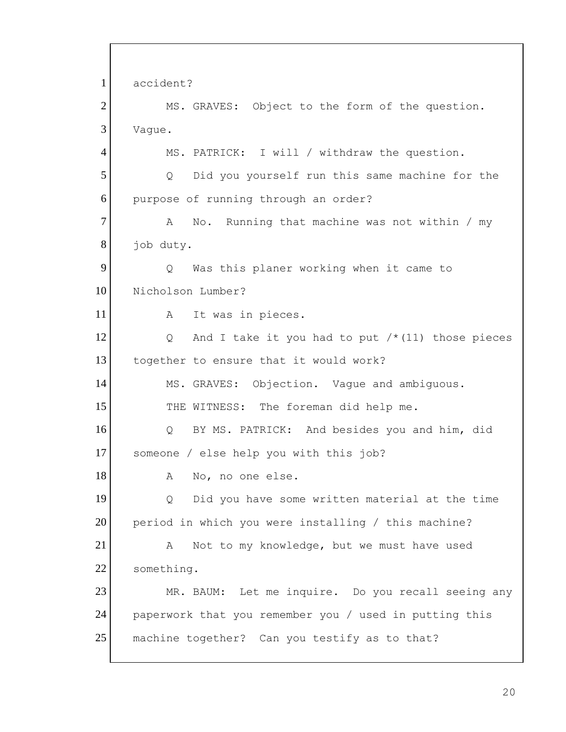1 accident? 2 MS. GRAVES: Object to the form of the question. 3 Vaque. 4 MS. PATRICK: I will / withdraw the question. 5 Q Did you yourself run this same machine for the 6 purpose of running through an order? 7 A No. Running that machine was not within / my 8 job duty. 9 Q Was this planer working when it came to 10 Nicholson Lumber? 11 A It was in pieces. 12  $\bigcirc$  And I take it you had to put  $/*$  (11) those pieces 13 together to ensure that it would work? 14 MS. GRAVES: Objection. Vaque and ambiguous. 15 THE WITNESS: The foreman did help me. 16 Q BY MS. PATRICK: And besides you and him, did 17 someone / else help you with this job? 18 A No, no one else. 19 Q Did you have some written material at the time 20 period in which you were installing / this machine? 21 A Not to my knowledge, but we must have used 22 something. 23 MR. BAUM: Let me inquire. Do you recall seeing any 24 paperwork that you remember you / used in putting this 25 | machine together? Can you testify as to that?